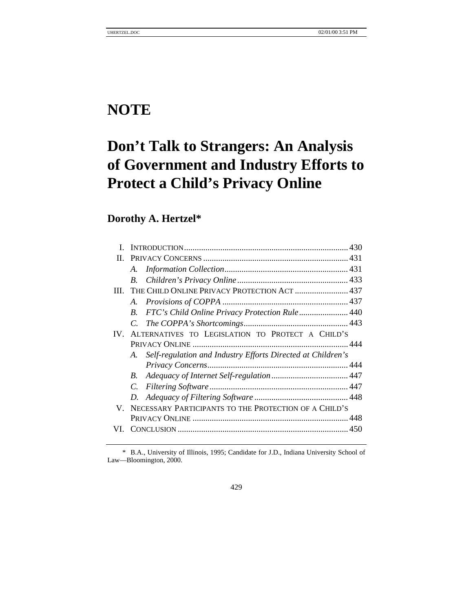## **NOTE**

# **Don't Talk to Strangers: An Analysis of Government and Industry Efforts to Protect a Child's Privacy Online**

## **Dorothy A. Hertzel\***

| П.       |                                                                   |                                                       |  |
|----------|-------------------------------------------------------------------|-------------------------------------------------------|--|
|          | A.                                                                |                                                       |  |
|          | $B_{\cdot}$                                                       |                                                       |  |
| HI.      | THE CHILD ONLINE PRIVACY PROTECTION ACT  437                      |                                                       |  |
|          |                                                                   |                                                       |  |
|          | FTC's Child Online Privacy Protection Rule 440<br>$B_{\cdot}$     |                                                       |  |
|          |                                                                   |                                                       |  |
| $IV_{-}$ | ALTERNATIVES TO LEGISLATION TO PROTECT A CHILD'S                  |                                                       |  |
|          |                                                                   |                                                       |  |
|          | Self-regulation and Industry Efforts Directed at Children's<br>A. |                                                       |  |
|          |                                                                   |                                                       |  |
|          | $B_{\cdot}$                                                       |                                                       |  |
|          | $C_{\cdot}$                                                       |                                                       |  |
|          |                                                                   |                                                       |  |
| V.       |                                                                   | NECESSARY PARTICIPANTS TO THE PROTECTION OF A CHILD'S |  |
|          |                                                                   |                                                       |  |
|          |                                                                   |                                                       |  |
|          |                                                                   |                                                       |  |

\* B.A., University of Illinois, 1995; Candidate for J.D., Indiana University School of Law—Bloomington, 2000.

429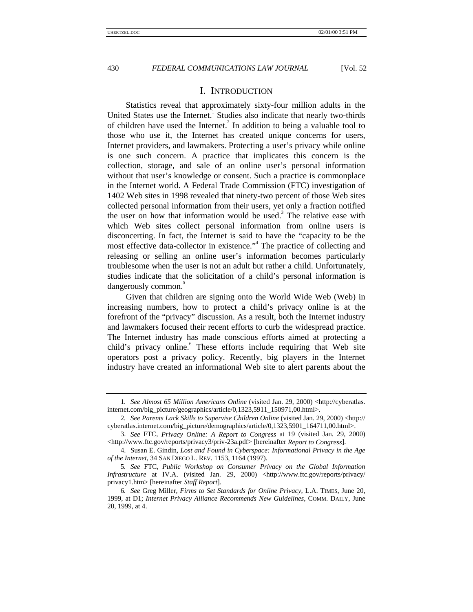#### I. INTRODUCTION

Statistics reveal that approximately sixty-four million adults in the United States use the Internet.<sup>1</sup> Studies also indicate that nearly two-thirds of children have used the Internet.<sup>2</sup> In addition to being a valuable tool to those who use it, the Internet has created unique concerns for users, Internet providers, and lawmakers. Protecting a user's privacy while online is one such concern. A practice that implicates this concern is the collection, storage, and sale of an online user's personal information without that user's knowledge or consent. Such a practice is commonplace in the Internet world. A Federal Trade Commission (FTC) investigation of 1402 Web sites in 1998 revealed that ninety-two percent of those Web sites collected personal information from their users, yet only a fraction notified the user on how that information would be used.<sup>3</sup> The relative ease with which Web sites collect personal information from online users is disconcerting. In fact, the Internet is said to have the "capacity to be the most effective data-collector in existence." 4 The practice of collecting and releasing or selling an online user's information becomes particularly troublesome when the user is not an adult but rather a child. Unfortunately, studies indicate that the solicitation of a child's personal information is dangerously common.<sup>5</sup>

Given that children are signing onto the World Wide Web (Web) in increasing numbers, how to protect a child's privacy online is at the forefront of the "privacy" discussion. As a result, both the Internet industry and lawmakers focused their recent efforts to curb the widespread practice. The Internet industry has made conscious efforts aimed at protecting a child's privacy online.<sup>6</sup> These efforts include requiring that Web site operators post a privacy policy. Recently, big players in the Internet industry have created an informational Web site to alert parents about the

<sup>1</sup>*. See Almost 65 Million Americans Online* (visited Jan. 29, 2000) <http://cyberatlas. internet.com/big\_picture/geographics/article/0,1323,5911\_150971,00.html>.

<sup>2</sup>*. See Parents Lack Skills to Supervise Children Online* (visited Jan. 29, 2000) <http:// cyberatlas.internet.com/big\_picture/demographics/article/0,1323,5901\_164711,00.html>.

<sup>3.</sup> *See* FTC, *Privacy Online: A Report to Congress* at 19 (visited Jan. 29, 2000) <http://www.ftc.gov/reports/privacy3/priv-23a.pdf> [hereinafter *Report to Congress*].

<sup>4.</sup> Susan E. Gindin, *Lost and Found in Cyberspace: Informational Privacy in the Age of the Internet*, 34 SAN DIEGO L. REV. 1153, 1164 (1997).

<sup>5</sup>*. See* FTC, *Public Workshop on Consumer Privacy on the Global Information Infrastructure* at IV.A. (visited Jan. 29, 2000) <http://www.ftc.gov/reports/privacy/ privacy1.htm> [hereinafter *Staff Report*].

<sup>6</sup>*. See* Greg Miller, *Firms to Set Standards for Online Privacy*, L.A. TIMES, June 20, 1999, at D1; *Internet Privacy Alliance Recommends New Guidelines*, COMM. DAILY, June 20, 1999, at 4.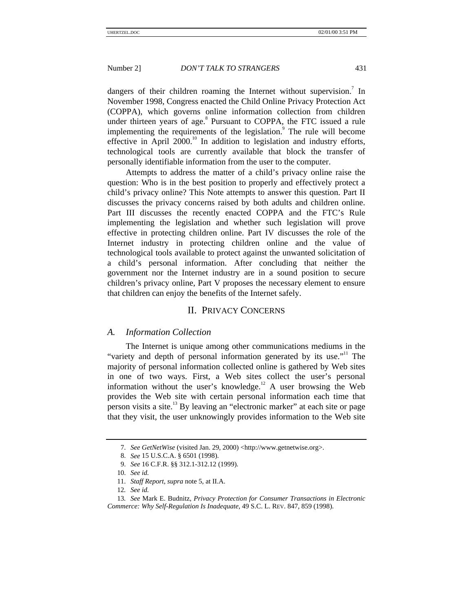dangers of their children roaming the Internet without supervision.<sup>7</sup> In November 1998, Congress enacted the Child Online Privacy Protection Act (COPPA), which governs online information collection from children under thirteen years of age.<sup>8</sup> Pursuant to COPPA, the FTC issued a rule implementing the requirements of the legislation.<sup>9</sup> The rule will become effective in April  $2000$ <sup>10</sup> In addition to legislation and industry efforts, technological tools are currently available that block the transfer of personally identifiable information from the user to the computer.

Attempts to address the matter of a child's privacy online raise the question: Who is in the best position to properly and effectively protect a child's privacy online? This Note attempts to answer this question. Part II discusses the privacy concerns raised by both adults and children online. Part III discusses the recently enacted COPPA and the FTC's Rule implementing the legislation and whether such legislation will prove effective in protecting children online. Part IV discusses the role of the Internet industry in protecting children online and the value of technological tools available to protect against the unwanted solicitation of a child's personal information. After concluding that neither the government nor the Internet industry are in a sound position to secure children's privacy online, Part V proposes the necessary element to ensure that children can enjoy the benefits of the Internet safely.

#### II. PRIVACY CONCERNS

#### *A. Information Collection*

The Internet is unique among other communications mediums in the "variety and depth of personal information generated by its use."<sup>11</sup> The majority of personal information collected online is gathered by Web sites in one of two ways. First, a Web sites collect the user's personal information without the user's knowledge.<sup>12</sup> A user browsing the Web provides the Web site with certain personal information each time that person visits a site.<sup>13</sup> By leaving an "electronic marker" at each site or page that they visit, the user unknowingly provides information to the Web site

<sup>7.</sup> *See GetNetWise* (visited Jan. 29, 2000) <http://www.getnetwise.org>.

<sup>8.</sup> *See* 15 U.S.C.A. § 6501 (1998).

<sup>9.</sup> *See* 16 C.F.R. §§ 312.1-312.12 (1999).

<sup>10.</sup> *See id.*

<sup>11.</sup> *Staff Report*, *supra* note 5, at II.A.

<sup>12</sup>*. See id.*

<sup>13</sup>*. See* Mark E. Budnitz, *Privacy Protection for Consumer Transactions in Electronic Commerce: Why Self-Regulation Is Inadequate*, 49 S.C. L. REV. 847, 859 (1998).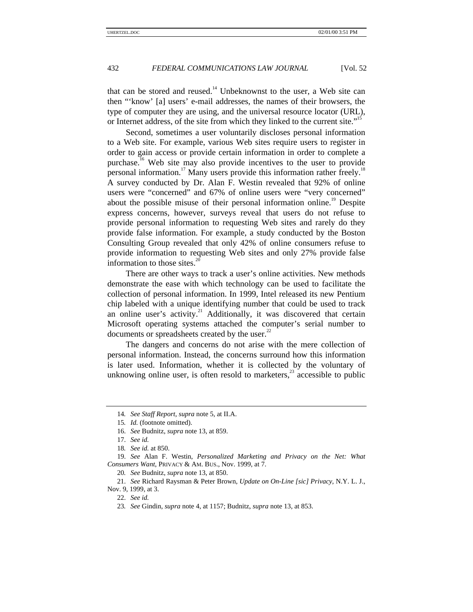that can be stored and reused.<sup>14</sup> Unbeknownst to the user, a Web site can then "'know' [a] users' e-mail addresses, the names of their browsers, the type of computer they are using, and the universal resource locator (URL), or Internet address, of the site from which they linked to the current site."<sup>15</sup>

Second, sometimes a user voluntarily discloses personal information to a Web site. For example, various Web sites require users to register in order to gain access or provide certain information in order to complete a purchase.<sup>16</sup> Web site may also provide incentives to the user to provide personal information.<sup>17</sup> Many users provide this information rather freely.<sup>18</sup> A survey conducted by Dr. Alan F. Westin revealed that 92% of online users were "concerned" and 67% of online users were "very concerned" about the possible misuse of their personal information online.<sup>19</sup> Despite express concerns, however, surveys reveal that users do not refuse to provide personal information to requesting Web sites and rarely do they provide false information. For example, a study conducted by the Boston Consulting Group revealed that only 42% of online consumers refuse to provide information to requesting Web sites and only 27% provide false information to those sites. $^{20}$ 

There are other ways to track a user's online activities. New methods demonstrate the ease with which technology can be used to facilitate the collection of personal information. In 1999, Intel released its new Pentium chip labeled with a unique identifying number that could be used to track an online user's activity.<sup>21</sup> Additionally, it was discovered that certain Microsoft operating systems attached the computer's serial number to documents or spreadsheets created by the user. $^{22}$ 

The dangers and concerns do not arise with the mere collection of personal information. Instead, the concerns surround how this information is later used. Information, whether it is collected by the voluntary of unknowing online user, is often resold to marketers, $^{23}$  accessible to public

16. *See* Budnitz, *supra* note 13, at 859.

<sup>14</sup>*. See Staff Report*, *supra* note 5, at II.A.

<sup>15</sup>*. Id.* (footnote omitted).

<sup>17.</sup> *See id.*

<sup>18</sup>*. See id.* at 850.

<sup>19.</sup> *See* Alan F. Westin, *Personalized Marketing and Privacy on the Net: What Consumers Want*, PRIVACY & AM. BUS., Nov. 1999, at 7.

<sup>20</sup>*. See* Budnitz, *supra* note 13, at 850.

<sup>21.</sup> *See* Richard Raysman & Peter Brown, *Update on On-Line [sic] Privacy*, N.Y. L. J., Nov. 9, 1999, at 3.

<sup>22.</sup> *See id.*

<sup>23</sup>*. See* Gindin, *supra* note 4, at 1157; Budnitz, *supra* note 13, at 853.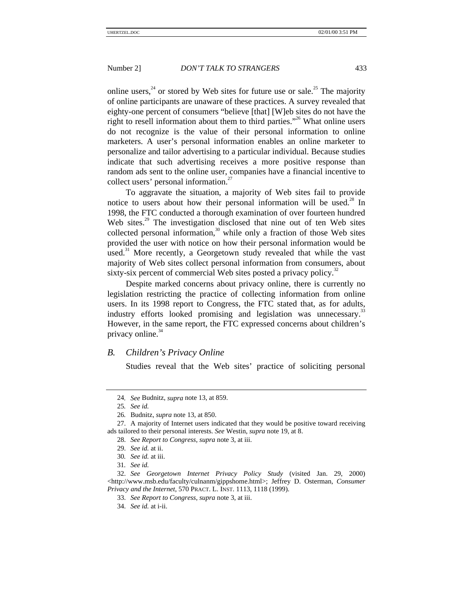online users,<sup>24</sup> or stored by Web sites for future use or sale.<sup>25</sup> The majority of online participants are unaware of these practices. A survey revealed that eighty-one percent of consumers "believe [that] [W]eb sites do not have the right to resell information about them to third parties."<sup>26</sup> What online users do not recognize is the value of their personal information to online marketers. A user's personal information enables an online marketer to personalize and tailor advertising to a particular individual. Because studies indicate that such advertising receives a more positive response than random ads sent to the online user, companies have a financial incentive to collect users' personal information.<sup>27</sup>

To aggravate the situation, a majority of Web sites fail to provide notice to users about how their personal information will be used.<sup>28</sup> In 1998, the FTC conducted a thorough examination of over fourteen hundred Web sites.<sup>29</sup> The investigation disclosed that nine out of ten Web sites collected personal information, $30$  while only a fraction of those Web sites provided the user with notice on how their personal information would be used.<sup>31</sup> More recently, a Georgetown study revealed that while the vast majority of Web sites collect personal information from consumers, about sixty-six percent of commercial Web sites posted a privacy policy.<sup>32</sup>

Despite marked concerns about privacy online, there is currently no legislation restricting the practice of collecting information from online users. In its 1998 report to Congress, the FTC stated that, as for adults, industry efforts looked promising and legislation was unnecessary.<sup>33</sup> However, in the same report, the FTC expressed concerns about children's privacy online. $34$ 

#### *B. Children's Privacy Online*

Studies reveal that the Web sites' practice of soliciting personal

32. *See Georgetown Internet Privacy Policy Study* (visited Jan. 29, 2000) <http://www.msb.edu/faculty/culnanm/gippshome.html>; Jeffrey D. Osterman, *Consumer Privacy and the Internet*, 570 PRACT. L. INST. 1113, 1118 (1999).

<sup>24</sup>*. See* Budnitz, *supra* note 13, at 859.

<sup>25</sup>*. See id.*

<sup>26</sup>*.* Budnitz, *supra* note 13, at 850.

<sup>27.</sup> A majority of Internet users indicated that they would be positive toward receiving ads tailored to their personal interests. *See* Westin, *supra* note 19, at 8.

<sup>28.</sup> *See Report to Congress*, *supra* note 3, at iii.

<sup>29.</sup> *See id.* at ii.

<sup>30</sup>*. See id.* at iii.

<sup>31</sup>*. See id.*

<sup>33.</sup> *See Report to Congress*, *supra* note 3, at iii.

<sup>34.</sup> *See id.* at i-ii.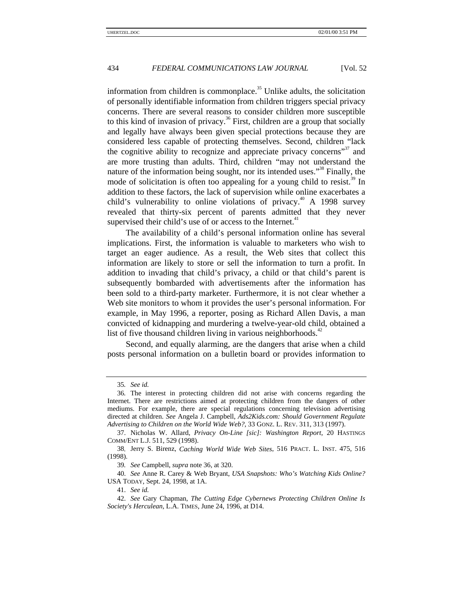information from children is commonplace.<sup>35</sup> Unlike adults, the solicitation of personally identifiable information from children triggers special privacy concerns. There are several reasons to consider children more susceptible to this kind of invasion of privacy.<sup>36</sup> First, children are a group that socially and legally have always been given special protections because they are considered less capable of protecting themselves. Second, children "lack the cognitive ability to recognize and appreciate privacy concerns"<sup>37</sup> and are more trusting than adults. Third, children "may not understand the nature of the information being sought, nor its intended uses."<sup>38</sup> Finally, the mode of solicitation is often too appealing for a young child to resist.<sup>39</sup> In addition to these factors, the lack of supervision while online exacerbates a child's vulnerability to online violations of privacy.<sup>40</sup> A 1998 survey revealed that thirty-six percent of parents admitted that they never supervised their child's use of or access to the Internet.<sup>41</sup>

The availability of a child's personal information online has several implications. First, the information is valuable to marketers who wish to target an eager audience. As a result, the Web sites that collect this information are likely to store or sell the information to turn a profit. In addition to invading that child's privacy, a child or that child's parent is subsequently bombarded with advertisements after the information has been sold to a third-party marketer. Furthermore, it is not clear whether a Web site monitors to whom it provides the user's personal information. For example, in May 1996, a reporter, posing as Richard Allen Davis, a man convicted of kidnapping and murdering a twelve-year-old child, obtained a list of five thousand children living in various neighborhoods. $42$ 

Second, and equally alarming, are the dangers that arise when a child posts personal information on a bulletin board or provides information to

<sup>35</sup>*. See id.*

<sup>36</sup>*.* The interest in protecting children did not arise with concerns regarding the Internet. There are restrictions aimed at protecting children from the dangers of other mediums. For example, there are special regulations concerning television advertising directed at children. *See* Angela J. Campbell, *Ads2Kids.com: Should Government Regulate Advertising to Children on the World Wide Web?*, 33 GONZ. L. REV. 311, 313 (1997).

<sup>37.</sup> Nicholas W. Allard, *Privacy On-Line [sic]: Washington Report*, 20 HASTINGS COMM/ENT L.J. 511, 529 (1998).

<sup>38</sup>*.* Jerry S. Birenz, *Caching World Wide Web Sites*, 516 PRACT. L. INST. 475, 516 (1998).

<sup>39</sup>*. See* Campbell, *supra* note 36, at 320.

<sup>40.</sup> *See* Anne R. Carey & Web Bryant, *USA Snapshots: Who's Watching Kids Online?* USA TODAY, Sept. 24, 1998, at 1A.

<sup>41.</sup> *See id.*

<sup>42.</sup> *See* Gary Chapman, *The Cutting Edge Cybernews Protecting Children Online Is Society's Herculean*, L.A. TIMES, June 24, 1996, at D14.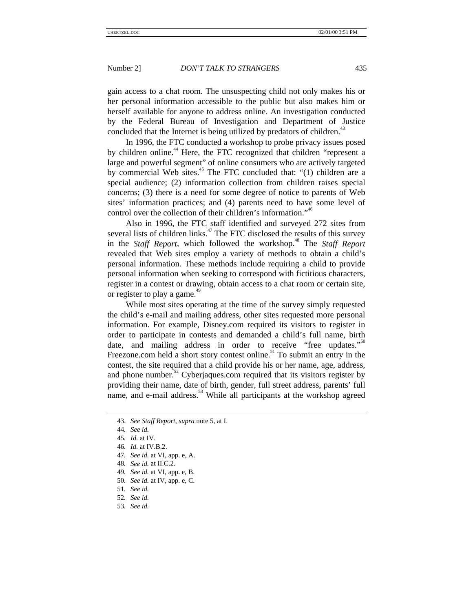gain access to a chat room. The unsuspecting child not only makes his or her personal information accessible to the public but also makes him or herself available for anyone to address online. An investigation conducted by the Federal Bureau of Investigation and Department of Justice concluded that the Internet is being utilized by predators of children.<sup>43</sup>

In 1996, the FTC conducted a workshop to probe privacy issues posed by children online.<sup>44</sup> Here, the FTC recognized that children "represent a large and powerful segment" of online consumers who are actively targeted by commercial Web sites. $45$  The FTC concluded that: "(1) children are a special audience; (2) information collection from children raises special concerns; (3) there is a need for some degree of notice to parents of Web sites' information practices; and (4) parents need to have some level of control over the collection of their children's information."<sup>46</sup>

Also in 1996, the FTC staff identified and surveyed 272 sites from several lists of children links. $47$  The FTC disclosed the results of this survey in the *Staff Report*, which followed the workshop.<sup>48</sup> The *Staff Report* revealed that Web sites employ a variety of methods to obtain a child's personal information. These methods include requiring a child to provide personal information when seeking to correspond with fictitious characters, register in a contest or drawing, obtain access to a chat room or certain site, or register to play a game.<sup>49</sup>

While most sites operating at the time of the survey simply requested the child's e-mail and mailing address, other sites requested more personal information. For example, Disney.com required its visitors to register in order to participate in contests and demanded a child's full name, birth date, and mailing address in order to receive "free updates."<sup>50</sup> Freezone.com held a short story contest online.<sup>51</sup> To submit an entry in the contest, the site required that a child provide his or her name, age, address, and phone number. $52$  Cyberjaques.com required that its visitors register by providing their name, date of birth, gender, full street address, parents' full name, and e-mail address.<sup>53</sup> While all participants at the workshop agreed

- 48*. See id.* at II.C.2.
- 49*. See id.* at VI, app. e, B.
- 50*. See id.* at IV, app. e, C.
- 51*. See id.*
- 52*. See id.*
- 53*. See id.*

<sup>43.</sup> *See Staff Report*, *supra* note 5, at I.

<sup>44</sup>*. See id.*

<sup>45</sup>*. Id.* at IV.

<sup>46</sup>*. Id.* at IV.B.2.

<sup>47</sup>*. See id.* at VI, app. e, A.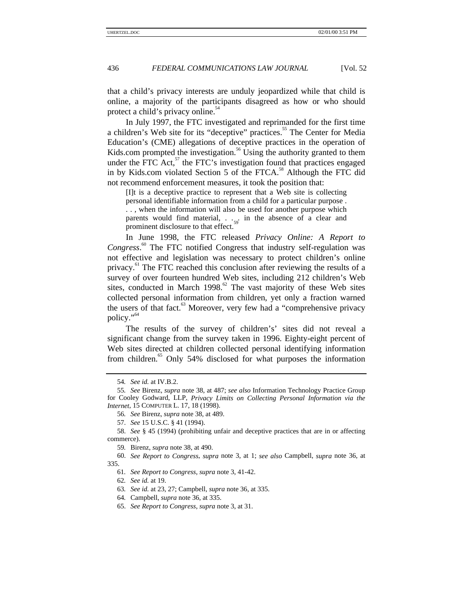that a child's privacy interests are unduly jeopardized while that child is online, a majority of the participants disagreed as how or who should protect a child's privacy online.<sup>54</sup>

In July 1997, the FTC investigated and reprimanded for the first time a children's Web site for its "deceptive" practices.<sup>55</sup> The Center for Media Education's (CME) allegations of deceptive practices in the operation of Kids.com prompted the investigation.<sup>56</sup> Using the authority granted to them under the FTC Act, $57$  the FTC's investigation found that practices engaged in by Kids.com violated Section 5 of the FTCA. $^{58}$  Although the FTC did not recommend enforcement measures, it took the position that:

[I]t is a deceptive practice to represent that a Web site is collecting personal identifiable information from a child for a particular purpose . . . , when the information will also be used for another purpose which parents would find material,  $\ldots$  in the absence of a clear and prominent disclosure to that effect.

In June 1998, the FTC released *Privacy Online: A Report to* Congress.<sup>60</sup> The FTC notified Congress that industry self-regulation was not effective and legislation was necessary to protect children's online privacy.<sup>61</sup> The FTC reached this conclusion after reviewing the results of a survey of over fourteen hundred Web sites, including 212 children's Web sites, conducted in March 1998.<sup>62</sup> The vast majority of these Web sites collected personal information from children, yet only a fraction warned the users of that fact. $63$  Moreover, very few had a "comprehensive privacy" policy."<sup>64</sup>

The results of the survey of children's' sites did not reveal a significant change from the survey taken in 1996. Eighty-eight percent of Web sites directed at children collected personal identifying information from children.<sup>65</sup> Only 54% disclosed for what purposes the information

<sup>54</sup>*. See id.* at IV.B.2.

<sup>55</sup>*. See* Birenz, *supra* note 38, at 487; *see also* Information Technology Practice Group for Cooley Godward, LLP, *Privacy Limits on Collecting Personal Information via the Internet*, 15 COMPUTER L. 17, 18 (1998).

<sup>56</sup>*. See* Birenz, *supra* note 38, at 489.

<sup>57.</sup> *See* 15 U.S.C. § 41 (1994).

<sup>58.</sup> *See* § 45 (1994) (prohibiting unfair and deceptive practices that are in or affecting commerce).

<sup>59</sup>*.* Birenz, *supra* note 38, at 490.

<sup>60.</sup> *See Report to Congress*, *supra* note 3, at 1; *see also* Campbell, *supra* note 36, at 335.

<sup>61</sup>*. See Report to Congress*, *supra* note 3, 41-42.

<sup>62</sup>*. See id.* at 19.

<sup>63</sup>*. See id.* at 23, 27; Campbell, *supra* note 36, at 335.

<sup>64</sup>*.* Campbell, *supra* note 36, at 335.

<sup>65.</sup> *See Report to Congress*, *supra* note 3, at 31.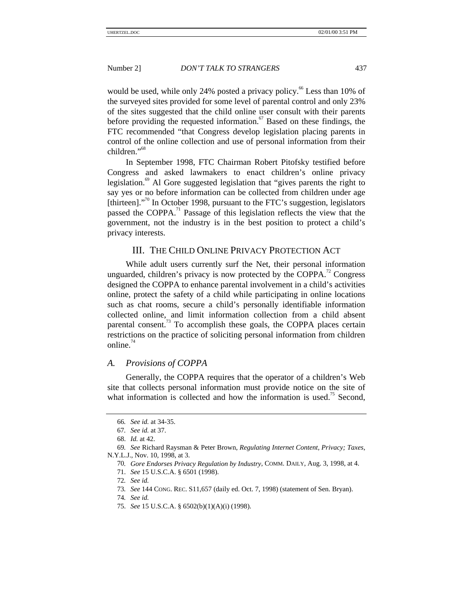would be used, while only 24% posted a privacy policy.<sup>66</sup> Less than 10% of the surveyed sites provided for some level of parental control and only 23% of the sites suggested that the child online user consult with their parents before providing the requested information. $\frac{67}{3}$  Based on these findings, the FTC recommended "that Congress develop legislation placing parents in control of the online collection and use of personal information from their children."<sup>68</sup>

In September 1998, FTC Chairman Robert Pitofsky testified before Congress and asked lawmakers to enact children's online privacy legislation.<sup>69</sup> Al Gore suggested legislation that "gives parents the right to say yes or no before information can be collected from children under age [thirteen]."<sup>70</sup> In October 1998, pursuant to the FTC's suggestion, legislators passed the COPPA. $<sup>71</sup>$  Passage of this legislation reflects the view that the</sup> government, not the industry is in the best position to protect a child's privacy interests.

### III. THE CHILD ONLINE PRIVACY PROTECTION ACT

While adult users currently surf the Net, their personal information unguarded, children's privacy is now protected by the COPPA.<sup>72</sup> Congress designed the COPPA to enhance parental involvement in a child's activities online, protect the safety of a child while participating in online locations such as chat rooms, secure a child's personally identifiable information collected online, and limit information collection from a child absent parental consent.<sup>73</sup> To accomplish these goals, the COPPA places certain restrictions on the practice of soliciting personal information from children online. $74$ 

#### *A. Provisions of COPPA*

Generally, the COPPA requires that the operator of a children's Web site that collects personal information must provide notice on the site of what information is collected and how the information is used.<sup>75</sup> Second,

74*. See id.*

<sup>66</sup>*. See id.* at 34-35.

<sup>67</sup>*. See id.* at 37.

<sup>68.</sup> *Id.* at 42.

<sup>69</sup>*. See* Richard Raysman & Peter Brown, *Regulating Internet Content, Privacy; Taxes*, N.Y.L.J., Nov. 10, 1998, at 3.

<sup>70</sup>*. Gore Endorses Privacy Regulation by Industry*, COMM. DAILY, Aug. 3, 1998, at 4.

<sup>71.</sup> *See* 15 U.S.C.A. § 6501 (1998).

<sup>72</sup>*. See id.*

<sup>73</sup>*. See* 144 CONG. REC. S11,657 (daily ed. Oct. 7, 1998) (statement of Sen. Bryan).

<sup>75.</sup> *See* 15 U.S.C.A. § 6502(b)(1)(A)(i) (1998).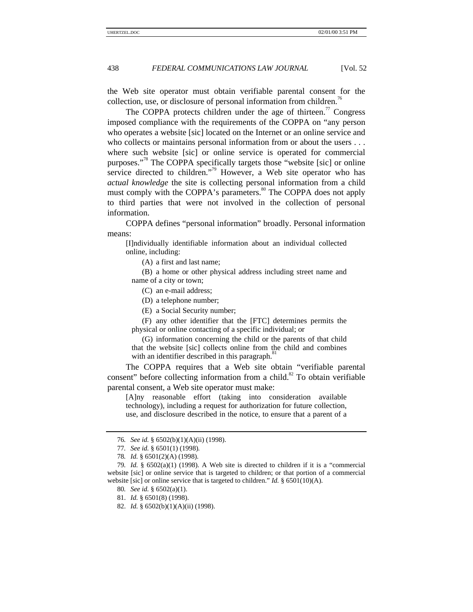the Web site operator must obtain verifiable parental consent for the collection, use, or disclosure of personal information from children.<sup>76</sup>

The COPPA protects children under the age of thirteen.<sup>77</sup> Congress imposed compliance with the requirements of the COPPA on "any person who operates a website [sic] located on the Internet or an online service and who collects or maintains personal information from or about the users . . . where such website [sic] or online service is operated for commercial purposes."<sup>78</sup> The COPPA specifically targets those "website [sic] or online service directed to children."<sup>79</sup> However, a Web site operator who has *actual knowledge* the site is collecting personal information from a child must comply with the COPPA's parameters.<sup>80</sup> The COPPA does not apply to third parties that were not involved in the collection of personal information.

COPPA defines "personal information" broadly. Personal information means:

[I]ndividually identifiable information about an individual collected online, including:

(A) a first and last name;

(B) a home or other physical address including street name and name of a city or town;

(C) an e-mail address;

(D) a telephone number;

(E) a Social Security number;

(F) any other identifier that the [FTC] determines permits the physical or online contacting of a specific individual; or

(G) information concerning the child or the parents of that child that the website [sic] collects online from the child and combines with an identifier described in this paragraph.<sup>8</sup>

The COPPA requires that a Web site obtain "verifiable parental consent" before collecting information from a child.<sup>82</sup> To obtain verifiable parental consent, a Web site operator must make:

[A]ny reasonable effort (taking into consideration available technology), including a request for authorization for future collection, use, and disclosure described in the notice, to ensure that a parent of a

<sup>76</sup>*. See id.* § 6502(b)(1)(A)(ii) (1998).

<sup>77</sup>*. See id.* § 6501(1) (1998)*.*

<sup>78</sup>*. Id.* § 6501(2)(A) (1998).

<sup>79</sup>*. Id.* § 6502(a)(1) (1998). A Web site is directed to children if it is a "commercial website [sic] or online service that is targeted to children; or that portion of a commercial website [sic] or online service that is targeted to children." *Id.* § 6501(10)(A).

<sup>80</sup>*. See id.* § 6502(a)(1).

<sup>81.</sup> *Id.* § 6501(8) (1998).

<sup>82.</sup> *Id.* § 6502(b)(1)(A)(ii) (1998).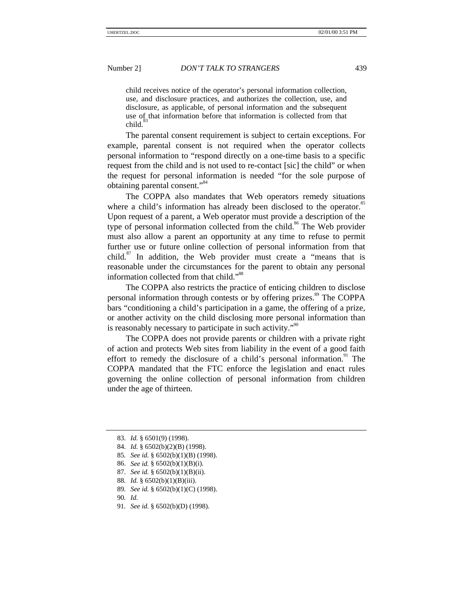child receives notice of the operator's personal information collection, use, and disclosure practices, and authorizes the collection, use, and disclosure, as applicable, of personal information and the subsequent use of that information before that information is collected from that  $child.$ 

The parental consent requirement is subject to certain exceptions. For example, parental consent is not required when the operator collects personal information to "respond directly on a one-time basis to a specific request from the child and is not used to re-contact [sic] the child" or when the request for personal information is needed "for the sole purpose of obtaining parental consent."<sup>84</sup>

The COPPA also mandates that Web operators remedy situations where a child's information has already been disclosed to the operator.<sup>85</sup> Upon request of a parent, a Web operator must provide a description of the type of personal information collected from the child.<sup>86</sup> The Web provider must also allow a parent an opportunity at any time to refuse to permit further use or future online collection of personal information from that child. $87$  In addition, the Web provider must create a "means that is reasonable under the circumstances for the parent to obtain any personal information collected from that child."<sup>88</sup>

The COPPA also restricts the practice of enticing children to disclose personal information through contests or by offering prizes.<sup>89</sup> The COPPA bars "conditioning a child's participation in a game, the offering of a prize, or another activity on the child disclosing more personal information than is reasonably necessary to participate in such activity."<sup>90</sup>

The COPPA does not provide parents or children with a private right of action and protects Web sites from liability in the event of a good faith effort to remedy the disclosure of a child's personal information. $91$  The COPPA mandated that the FTC enforce the legislation and enact rules governing the online collection of personal information from children under the age of thirteen.

- 85*. See id.* § 6502(b)(1)(B) (1998).
- 86. *See id.* § 6502(b)(1)(B)(i).
- 87. *See id.* § 6502(b)(1)(B)(ii).
- 88*. Id.* § 6502(b)(1)(B)(iii).
- 89*. See id.* § 6502(b)(1)(C) (1998).
- 90*. Id.*
- 91*. See id.* § 6502(b)(D) (1998).

<sup>83.</sup> *Id.* § 6501(9) (1998).

<sup>84.</sup> *Id.* § 6502(b)(2)(B) (1998).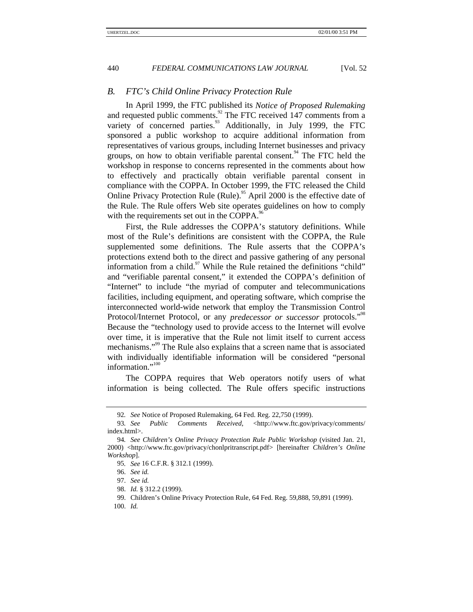#### *B. FTC's Child Online Privacy Protection Rule*

In April 1999, the FTC published its *Notice of Proposed Rulemaking* and requested public comments.<sup>92</sup> The FTC received 147 comments from a variety of concerned parties.<sup>93</sup> Additionally, in July 1999, the FTC sponsored a public workshop to acquire additional information from representatives of various groups, including Internet businesses and privacy groups, on how to obtain verifiable parental consent.<sup>94</sup> The FTC held the workshop in response to concerns represented in the comments about how to effectively and practically obtain verifiable parental consent in compliance with the COPPA. In October 1999, the FTC released the Child Online Privacy Protection Rule (Rule).<sup>95</sup> April 2000 is the effective date of the Rule. The Rule offers Web site operates guidelines on how to comply with the requirements set out in the COPPA.<sup>96</sup>

First, the Rule addresses the COPPA's statutory definitions. While most of the Rule's definitions are consistent with the COPPA, the Rule supplemented some definitions. The Rule asserts that the COPPA's protections extend both to the direct and passive gathering of any personal information from a child. $97$  While the Rule retained the definitions "child" and "verifiable parental consent," it extended the COPPA's definition of "Internet" to include "the myriad of computer and telecommunications facilities, including equipment, and operating software, which comprise the interconnected world-wide network that employ the Transmission Control Protocol/Internet Protocol, or any *predecessor or successor* protocols."<sup>98</sup> Because the "technology used to provide access to the Internet will evolve over time, it is imperative that the Rule not limit itself to current access mechanisms."<sup>99</sup> The Rule also explains that a screen name that is associated with individually identifiable information will be considered "personal information."<sup>100</sup>

The COPPA requires that Web operators notify users of what information is being collected. The Rule offers specific instructions

<sup>92</sup>*. See* Notice of Proposed Rulemaking, 64 Fed. Reg. 22,750 (1999).

<sup>93</sup>*. See Public Comments Received*, <http://www.ftc.gov/privacy/comments/ index.html>.

<sup>94</sup>*. See Children's Online Privacy Protection Rule Public Workshop* (visited Jan. 21, 2000) <http://www.ftc.gov/privacy/chonlpritranscript.pdf> [hereinafter *Children's Online Workshop*].

<sup>95</sup>*. See* 16 C.F.R. § 312.1 (1999).

<sup>96.</sup> *See id.*

<sup>97.</sup> *See id.*

<sup>98.</sup> *Id.* § 312.2 (1999).

<sup>99.</sup> Children's Online Privacy Protection Rule, 64 Fed. Reg. 59,888, 59,891 (1999).

<sup>100.</sup> *Id.*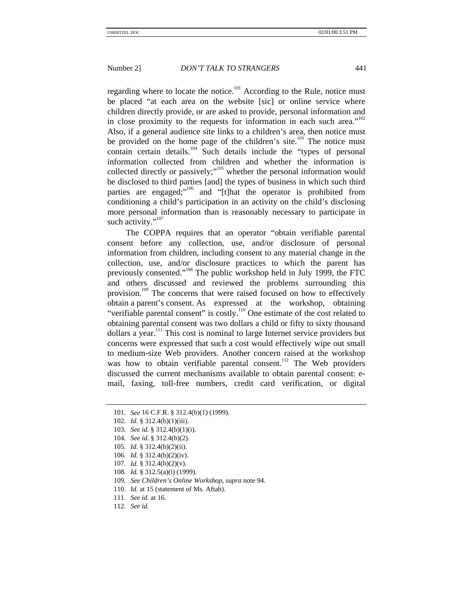regarding where to locate the notice.<sup>101</sup> According to the Rule, notice must be placed "at each area on the website [sic] or online service where children directly provide, or are asked to provide, personal information and in close proximity to the requests for information in each such area." $102$ Also, if a general audience site links to a children's area, then notice must be provided on the home page of the children's site.<sup>103</sup> The notice must contain certain details.<sup>104</sup> Such details include the "types of personal" information collected from children and whether the information is collected directly or passively;"<sup>105</sup> whether the personal information would be disclosed to third parties [and] the types of business in which such third parties are engaged;"<sup>106</sup> and "[t]hat the operator is prohibited from conditioning a child's participation in an activity on the child's disclosing more personal information than is reasonably necessary to participate in such activity."<sup>107</sup>

The COPPA requires that an operator "obtain verifiable parental consent before any collection, use, and/or disclosure of personal information from children, including consent to any material change in the collection, use, and/or disclosure practices to which the parent has previously consented."<sup>108</sup> The public workshop held in July 1999, the FTC and others discussed and reviewed the problems surrounding this provision.<sup>109</sup> The concerns that were raised focused on how to effectively obtain a parent's consent. As expressed at the workshop, obtaining "verifiable parental consent" is costly.<sup>110</sup> One estimate of the cost related to obtaining parental consent was two dollars a child or fifty to sixty thousand dollars a year.<sup>111</sup> This cost is nominal to large Internet service providers but concerns were expressed that such a cost would effectively wipe out small to medium-size Web providers. Another concern raised at the workshop was how to obtain verifiable parental consent.<sup>112</sup> The Web providers discussed the current mechanisms available to obtain parental consent: email, faxing, toll-free numbers, credit card verification, or digital

- 103*. See id.* § 312.4(b)(1)(i).
- 104*. See id.* § 312.4(b)(2).
- 105*. Id.* § 312.4(b)(2)(ii).
- 106*. Id.* § 312.4(b)(2)(iv).
- 107*. Id.* § 312.4(b)(2)(v).
- 108*. Id.* § 312.5(a)(i) (1999).
- 109*. See Children's Online Workshop*, *supra* note 94.
- 110. *Id.* at 15 (statement of Ms. Aftab).
- 111. *See id.* at 16.
- 112. *See id.*

<sup>101</sup>*. See* 16 C.F.R. § 312.4(b)(1) (1999).

<sup>102</sup>*. Id.* § 312.4(b)(1)(iii).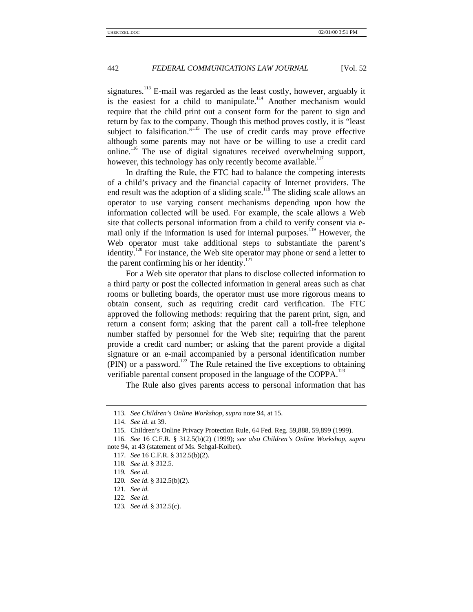signatures.<sup>113</sup> E-mail was regarded as the least costly, however, arguably it is the easiest for a child to manipulate.<sup>114</sup> Another mechanism would require that the child print out a consent form for the parent to sign and return by fax to the company. Though this method proves costly, it is "least subject to falsification."<sup>115</sup> The use of credit cards may prove effective although some parents may not have or be willing to use a credit card online.<sup>116</sup> The use of digital signatures received overwhelming support, however, this technology has only recently become available.<sup>117</sup>

In drafting the Rule, the FTC had to balance the competing interests of a child's privacy and the financial capacity of Internet providers. The end result was the adoption of a sliding scale.<sup>118</sup> The sliding scale allows an operator to use varying consent mechanisms depending upon how the information collected will be used. For example, the scale allows a Web site that collects personal information from a child to verify consent via email only if the information is used for internal purposes.<sup>119</sup> However, the Web operator must take additional steps to substantiate the parent's identity.<sup>120</sup> For instance, the Web site operator may phone or send a letter to the parent confirming his or her identity. $121$ 

For a Web site operator that plans to disclose collected information to a third party or post the collected information in general areas such as chat rooms or bulleting boards, the operator must use more rigorous means to obtain consent, such as requiring credit card verification. The FTC approved the following methods: requiring that the parent print, sign, and return a consent form; asking that the parent call a toll-free telephone number staffed by personnel for the Web site; requiring that the parent provide a credit card number; or asking that the parent provide a digital signature or an e-mail accompanied by a personal identification number (PIN) or a password.<sup>122</sup> The Rule retained the five exceptions to obtaining verifiable parental consent proposed in the language of the COPPA.<sup>123</sup>

The Rule also gives parents access to personal information that has

<sup>113.</sup> *See Children's Online Workshop*, *supra* note 94, at 15.

<sup>114.</sup> *See id.* at 39.

<sup>115.</sup> Children's Online Privacy Protection Rule, 64 Fed. Reg. 59,888, 59,899 (1999).

<sup>116.</sup> *See* 16 C.F.R*.* § 312.5(b)(2) (1999); *see also Children's Online Workshop*, *supra* note 94, at 43 (statement of Ms. Sehgal-Kolbet).

<sup>117.</sup> *See* 16 C.F.R*.* § 312.5(b)(2).

<sup>118</sup>*. See id.* § 312.5.

<sup>119</sup>*. See id.*

<sup>120</sup>*. See id.* § 312.5(b)(2).

<sup>121</sup>*. See id.*

<sup>122</sup>*. See id.*

<sup>123</sup>*. See id.* § 312.5(c).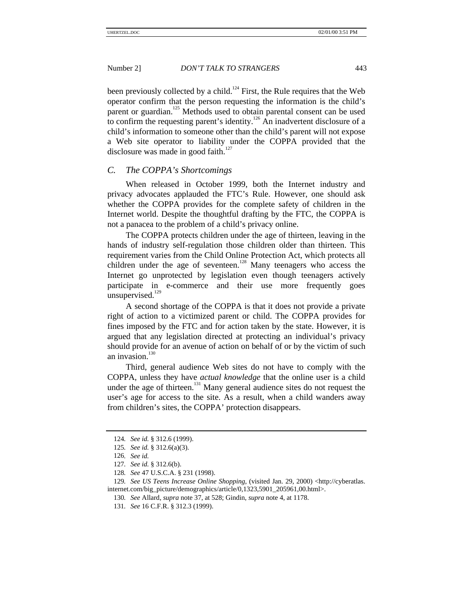been previously collected by a child.<sup>124</sup> First, the Rule requires that the Web operator confirm that the person requesting the information is the child's parent or guardian.<sup>125</sup> Methods used to obtain parental consent can be used to confirm the requesting parent's identity.<sup>126</sup> An inadvertent disclosure of a child's information to someone other than the child's parent will not expose a Web site operator to liability under the COPPA provided that the disclosure was made in good faith.<sup>127</sup>

#### *C. The COPPA's Shortcomings*

When released in October 1999, both the Internet industry and privacy advocates applauded the FTC's Rule. However, one should ask whether the COPPA provides for the complete safety of children in the Internet world. Despite the thoughtful drafting by the FTC, the COPPA is not a panacea to the problem of a child's privacy online.

The COPPA protects children under the age of thirteen, leaving in the hands of industry self-regulation those children older than thirteen. This requirement varies from the Child Online Protection Act, which protects all children under the age of seventeen.<sup>128</sup> Many teenagers who access the Internet go unprotected by legislation even though teenagers actively participate in e-commerce and their use more frequently goes unsupervised. $^{129}$ 

A second shortage of the COPPA is that it does not provide a private right of action to a victimized parent or child. The COPPA provides for fines imposed by the FTC and for action taken by the state. However, it is argued that any legislation directed at protecting an individual's privacy should provide for an avenue of action on behalf of or by the victim of such an invasion.<sup>130</sup>

Third, general audience Web sites do not have to comply with the COPPA, unless they have *actual knowledge* that the online user is a child under the age of thirteen.<sup>131</sup> Many general audience sites do not request the user's age for access to the site. As a result, when a child wanders away from children's sites, the COPPA' protection disappears.

<sup>124</sup>*. See id.* § 312.6 (1999).

<sup>125</sup>*. See id.* § 312.6(a)(3).

<sup>126</sup>*. See id.*

<sup>127</sup>*. See id.* § 312.6(b).

<sup>128</sup>*. See* 47 U.S.C.A. § 231 (1998).

<sup>129</sup>*. See US Teens Increase Online Shopping*, (visited Jan. 29, 2000) <http://cyberatlas. internet.com/big\_picture/demographics/article/0,1323,5901\_205961,00.html>.

<sup>130</sup>*. See* Allard, *supra* note 37, at 528; Gindin, *supra* note 4, at 1178.

<sup>131</sup>*. See* 16 C.F.R. § 312.3 (1999).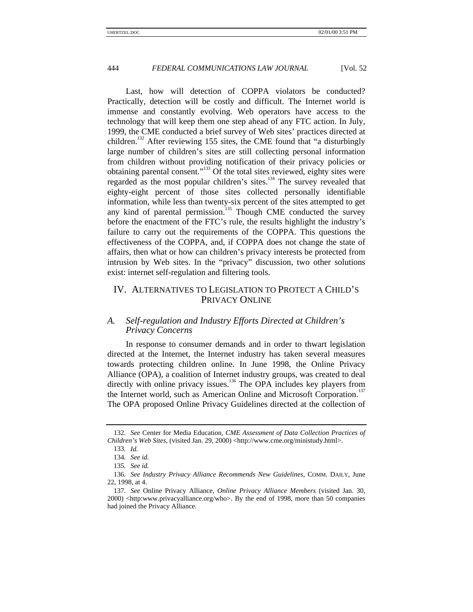Last, how will detection of COPPA violators be conducted? Practically, detection will be costly and difficult. The Internet world is immense and constantly evolving. Web operators have access to the technology that will keep them one step ahead of any FTC action. In July, 1999, the CME conducted a brief survey of Web sites' practices directed at children.<sup>132</sup> After reviewing 155 sites, the CME found that "a disturbingly large number of children's sites are still collecting personal information from children without providing notification of their privacy policies or obtaining parental consent."<sup>133</sup> Of the total sites reviewed, eighty sites were regarded as the most popular children's sites.<sup>134</sup> The survey revealed that eighty-eight percent of those sites collected personally identifiable information, while less than twenty-six percent of the sites attempted to get any kind of parental permission.<sup>135</sup> Though CME conducted the survey before the enactment of the FTC's rule, the results highlight the industry's failure to carry out the requirements of the COPPA. This questions the effectiveness of the COPPA, and, if COPPA does not change the state of affairs, then what or how can children's privacy interests be protected from intrusion by Web sites. In the "privacy" discussion, two other solutions exist: internet self-regulation and filtering tools.

### IV. ALTERNATIVES TO LEGISLATION TO PROTECT A CHILD'S PRIVACY ONLINE

#### *A. Self-regulation and Industry Efforts Directed at Children's Privacy Concerns*

In response to consumer demands and in order to thwart legislation directed at the Internet, the Internet industry has taken several measures towards protecting children online. In June 1998, the Online Privacy Alliance (OPA), a coalition of Internet industry groups, was created to deal directly with online privacy issues.<sup>136</sup> The OPA includes key players from the Internet world, such as American Online and Microsoft Corporation.<sup>137</sup> The OPA proposed Online Privacy Guidelines directed at the collection of

<sup>132</sup>*. See* Center for Media Education, *CME Assessment of Data Collection Practices of Children's Web Sites*, (visited Jan. 29, 2000) <http://www.cme.org/ministudy.html>.

<sup>133</sup>*. Id.*

<sup>134</sup>*. See id.*

<sup>135</sup>*. See id.*

<sup>136</sup>*. See Industry Privacy Alliance Recommends New Guidelines*, COMM. DAILY, June 22, 1998, at 4.

<sup>137.</sup> *See* Online Privacy Alliance, *Online Privacy Alliance Members* (visited Jan. 30, 2000) <http:www.privacyalliance.org/who>. By the end of 1998, more than 50 companies had joined the Privacy Alliance.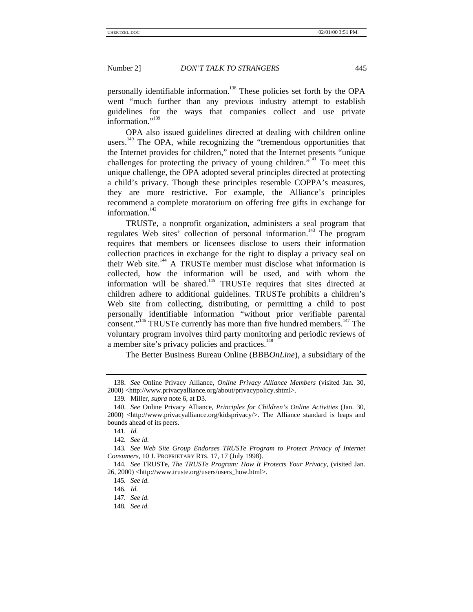personally identifiable information.<sup>138</sup> These policies set forth by the OPA went "much further than any previous industry attempt to establish guidelines for the ways that companies collect and use private information."<sup>139</sup>

OPA also issued guidelines directed at dealing with children online users.<sup>140</sup> The OPA, while recognizing the "tremendous opportunities that the Internet provides for children," noted that the Internet presents "unique challenges for protecting the privacy of young children."<sup>141</sup> To meet this unique challenge, the OPA adopted several principles directed at protecting a child's privacy. Though these principles resemble COPPA's measures, they are more restrictive. For example, the Alliance's principles recommend a complete moratorium on offering free gifts in exchange for information. $142$ 

TRUSTe, a nonprofit organization, administers a seal program that regulates Web sites' collection of personal information.<sup>143</sup> The program requires that members or licensees disclose to users their information collection practices in exchange for the right to display a privacy seal on their Web site.<sup>144</sup> A TRUSTe member must disclose what information is collected, how the information will be used, and with whom the information will be shared.<sup>145</sup> TRUSTe requires that sites directed at children adhere to additional guidelines. TRUSTe prohibits a children's Web site from collecting, distributing, or permitting a child to post personally identifiable information "without prior verifiable parental consent."<sup>146</sup> TRUSTe currently has more than five hundred members.<sup>147</sup> The voluntary program involves third party monitoring and periodic reviews of a member site's privacy policies and practices.<sup>148</sup>

The Better Business Bureau Online (BBB*OnLine*), a subsidiary of the

<sup>138.</sup> *See* Online Privacy Alliance, *Online Privacy Alliance Members* (visited Jan. 30, 2000) <http://www.privacyalliance.org/about/privacypolicy.shtml>.

<sup>139</sup>*.* Miller, *supra* note 6, at D3.

<sup>140.</sup> *See* Online Privacy Alliance, *Principles for Children's Online Activities* (Jan. 30, 2000) <http://www.privacyalliance.org/kidsprivacy/>. The Alliance standard is leaps and bounds ahead of its peers.

<sup>141</sup>*. Id.*

<sup>142</sup>*. See id.*

<sup>143</sup>*. See Web Site Group Endorses TRUSTe Program to Protect Privacy of Internet Consumers*, 10 J. PROPRIETARY RTS. 17, 17 (July 1998).

<sup>144</sup>*. See* TRUSTe, *The TRUSTe Program: How It Protects Your Privacy*, (visited Jan. 26, 2000) <http://www.truste.org/users/users\_how.html>.

<sup>145</sup>*. See id.*

<sup>146</sup>*. Id.*

<sup>147</sup>*. See id.*

<sup>148</sup>*. See id.*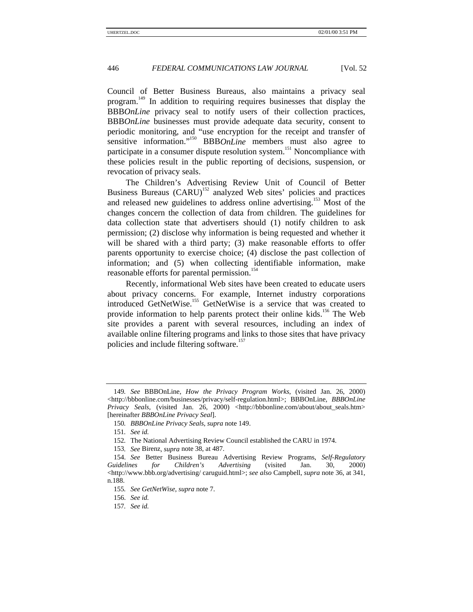Council of Better Business Bureaus, also maintains a privacy seal program.<sup>149</sup> In addition to requiring requires businesses that display the BBB*OnLine* privacy seal to notify users of their collection practices, BBB*OnLine* businesses must provide adequate data security, consent to periodic monitoring, and "use encryption for the receipt and transfer of sensitive information."<sup>150</sup> BBB*OnLine* members must also agree to participate in a consumer dispute resolution system.<sup>151</sup> Noncompliance with these policies result in the public reporting of decisions, suspension, or revocation of privacy seals.

The Children's Advertising Review Unit of Council of Better Business Bureaus (CARU)<sup>152</sup> analyzed Web sites' policies and practices and released new guidelines to address online advertising.<sup>153</sup> Most of the changes concern the collection of data from children. The guidelines for data collection state that advertisers should (1) notify children to ask permission; (2) disclose why information is being requested and whether it will be shared with a third party; (3) make reasonable efforts to offer parents opportunity to exercise choice; (4) disclose the past collection of information; and (5) when collecting identifiable information, make reasonable efforts for parental permission.<sup>154</sup>

Recently, informational Web sites have been created to educate users about privacy concerns. For example, Internet industry corporations introduced GetNetWise.<sup>155</sup> GetNetWise is a service that was created to provide information to help parents protect their online kids.<sup>156</sup> The Web site provides a parent with several resources, including an index of available online filtering programs and links to those sites that have privacy policies and include filtering software.<sup>157</sup>

<sup>149</sup>*. See* BBBOnLine, *How the Privacy Program Works*, (visited Jan. 26, 2000) <http://bbbonline.com/businesses/privacy/self-regulation.html>; BBBOnLine, *BBBOnLine Privacy Seals*, (visited Jan. 26, 2000) <http://bbbonline.com/about/about\_seals.htm> [hereinafter *BBBOnLine Privacy Seal*].

<sup>150</sup>*. BBBOnLine Privacy Seals*, *supra* note 149.

<sup>151</sup>*. See id.*

<sup>152</sup>*.* The National Advertising Review Council established the CARU in 1974.

<sup>153</sup>*. See* Birenz*, supra* note 38, at 487.

<sup>154.</sup> *See* Better Business Bureau Advertising Review Programs, *Self-Regulatory Guidelines for Children's Advertising* (visited Jan. 30, 2000)  $\langle$ http://www.bbb.org/advertising/ caruguid.html>; *see also* Campbell, *supra* note 36, at 341, n.188.

<sup>155</sup>*. See GetNetWise*, *supra* note 7.

<sup>156.</sup> *See id.*

<sup>157</sup>*. See id.*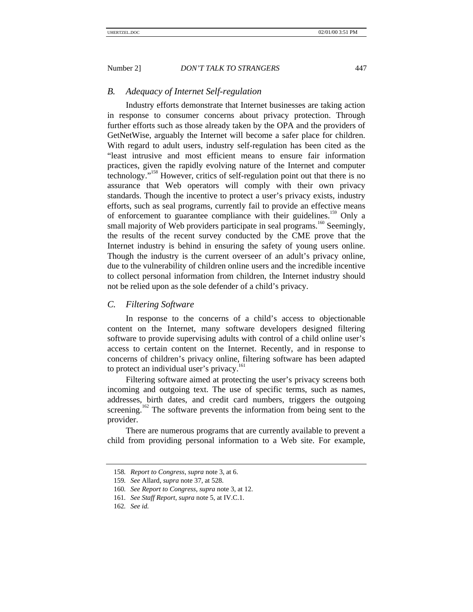#### *B. Adequacy of Internet Self-regulation*

Industry efforts demonstrate that Internet businesses are taking action in response to consumer concerns about privacy protection. Through further efforts such as those already taken by the OPA and the providers of GetNetWise, arguably the Internet will become a safer place for children. With regard to adult users, industry self-regulation has been cited as the "least intrusive and most efficient means to ensure fair information practices, given the rapidly evolving nature of the Internet and computer technology." 158 However, critics of self-regulation point out that there is no assurance that Web operators will comply with their own privacy standards. Though the incentive to protect a user's privacy exists, industry efforts, such as seal programs, currently fail to provide an effective means of enforcement to guarantee compliance with their guidelines.<sup>159</sup> Only a small majority of Web providers participate in seal programs.<sup>160</sup> Seemingly, the results of the recent survey conducted by the CME prove that the Internet industry is behind in ensuring the safety of young users online. Though the industry is the current overseer of an adult's privacy online, due to the vulnerability of children online users and the incredible incentive to collect personal information from children, the Internet industry should not be relied upon as the sole defender of a child's privacy.

#### *C. Filtering Software*

In response to the concerns of a child's access to objectionable content on the Internet, many software developers designed filtering software to provide supervising adults with control of a child online user's access to certain content on the Internet. Recently, and in response to concerns of children's privacy online, filtering software has been adapted to protect an individual user's privacy.<sup>161</sup>

Filtering software aimed at protecting the user's privacy screens both incoming and outgoing text. The use of specific terms, such as names, addresses, birth dates, and credit card numbers, triggers the outgoing screening.<sup>162</sup> The software prevents the information from being sent to the provider.

There are numerous programs that are currently available to prevent a child from providing personal information to a Web site. For example,

<sup>158</sup>*. Report to Congress*, *supra* note 3, at 6.

<sup>159</sup>*. See* Allard, *supra* note 37, at 528.

<sup>160</sup>*. See Report to Congress*, *supra* note 3, at 12.

<sup>161</sup>*. See Staff Report*, *supra* note 5, at IV.C.1.

<sup>162</sup>*. See id.*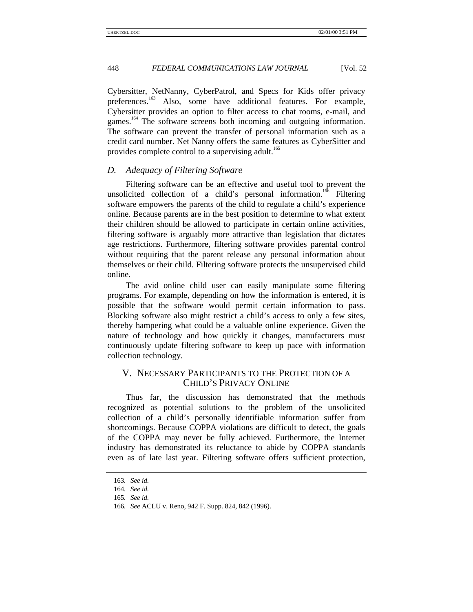Cybersitter, NetNanny, CyberPatrol, and Specs for Kids offer privacy preferences.<sup>163</sup> Also, some have additional features. For example, Cybersitter provides an option to filter access to chat rooms, e-mail, and games.<sup>164</sup> The software screens both incoming and outgoing information. The software can prevent the transfer of personal information such as a credit card number. Net Nanny offers the same features as CyberSitter and provides complete control to a supervising adult.<sup>165</sup>

#### *D. Adequacy of Filtering Software*

Filtering software can be an effective and useful tool to prevent the unsolicited collection of a child's personal information.<sup>166</sup> Filtering software empowers the parents of the child to regulate a child's experience online. Because parents are in the best position to determine to what extent their children should be allowed to participate in certain online activities, filtering software is arguably more attractive than legislation that dictates age restrictions. Furthermore, filtering software provides parental control without requiring that the parent release any personal information about themselves or their child. Filtering software protects the unsupervised child online.

The avid online child user can easily manipulate some filtering programs. For example, depending on how the information is entered, it is possible that the software would permit certain information to pass. Blocking software also might restrict a child's access to only a few sites, thereby hampering what could be a valuable online experience. Given the nature of technology and how quickly it changes, manufacturers must continuously update filtering software to keep up pace with information collection technology.

### V. NECESSARY PARTICIPANTS TO THE PROTECTION OF A CHILD'S PRIVACY ONLINE

Thus far, the discussion has demonstrated that the methods recognized as potential solutions to the problem of the unsolicited collection of a child's personally identifiable information suffer from shortcomings. Because COPPA violations are difficult to detect, the goals of the COPPA may never be fully achieved. Furthermore, the Internet industry has demonstrated its reluctance to abide by COPPA standards even as of late last year. Filtering software offers sufficient protection,

<sup>163</sup>*. See id.*

<sup>164</sup>*. See id.*

<sup>165</sup>*. See id.*

<sup>166</sup>*. See* ACLU v. Reno, 942 F. Supp. 824, 842 (1996).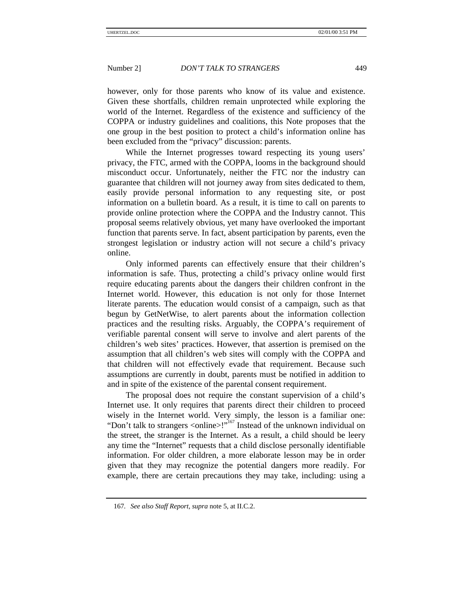however, only for those parents who know of its value and existence. Given these shortfalls, children remain unprotected while exploring the world of the Internet. Regardless of the existence and sufficiency of the COPPA or industry guidelines and coalitions, this Note proposes that the one group in the best position to protect a child's information online has been excluded from the "privacy" discussion: parents.

While the Internet progresses toward respecting its young users' privacy, the FTC, armed with the COPPA, looms in the background should misconduct occur. Unfortunately, neither the FTC nor the industry can guarantee that children will not journey away from sites dedicated to them, easily provide personal information to any requesting site, or post information on a bulletin board. As a result, it is time to call on parents to provide online protection where the COPPA and the Industry cannot. This proposal seems relatively obvious, yet many have overlooked the important function that parents serve. In fact, absent participation by parents, even the strongest legislation or industry action will not secure a child's privacy online.

Only informed parents can effectively ensure that their children's information is safe. Thus, protecting a child's privacy online would first require educating parents about the dangers their children confront in the Internet world. However, this education is not only for those Internet literate parents. The education would consist of a campaign, such as that begun by GetNetWise, to alert parents about the information collection practices and the resulting risks. Arguably, the COPPA's requirement of verifiable parental consent will serve to involve and alert parents of the children's web sites' practices. However, that assertion is premised on the assumption that all children's web sites will comply with the COPPA and that children will not effectively evade that requirement. Because such assumptions are currently in doubt, parents must be notified in addition to and in spite of the existence of the parental consent requirement.

The proposal does not require the constant supervision of a child's Internet use. It only requires that parents direct their children to proceed wisely in the Internet world. Very simply, the lesson is a familiar one: "Don't talk to strangers <online>!"<sup>167</sup> Instead of the unknown individual on the street, the stranger is the Internet. As a result, a child should be leery any time the "Internet" requests that a child disclose personally identifiable information. For older children, a more elaborate lesson may be in order given that they may recognize the potential dangers more readily. For example, there are certain precautions they may take, including: using a

<sup>167</sup>*. See also Staff Report*, *supra* note 5, at II.C.2.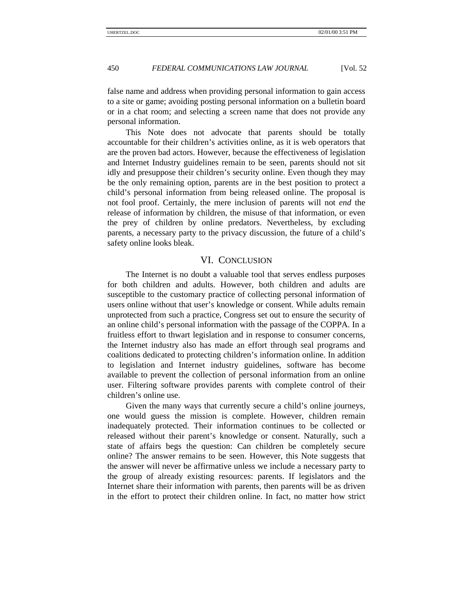false name and address when providing personal information to gain access to a site or game; avoiding posting personal information on a bulletin board or in a chat room; and selecting a screen name that does not provide any personal information.

This Note does not advocate that parents should be totally accountable for their children's activities online, as it is web operators that are the proven bad actors. However, because the effectiveness of legislation and Internet Industry guidelines remain to be seen, parents should not sit idly and presuppose their children's security online. Even though they may be the only remaining option, parents are in the best position to protect a child's personal information from being released online. The proposal is not fool proof. Certainly, the mere inclusion of parents will not *end* the release of information by children, the misuse of that information, or even the prey of children by online predators. Nevertheless, by excluding parents, a necessary party to the privacy discussion, the future of a child's safety online looks bleak.

### VI. CONCLUSION

The Internet is no doubt a valuable tool that serves endless purposes for both children and adults. However, both children and adults are susceptible to the customary practice of collecting personal information of users online without that user's knowledge or consent. While adults remain unprotected from such a practice, Congress set out to ensure the security of an online child's personal information with the passage of the COPPA. In a fruitless effort to thwart legislation and in response to consumer concerns, the Internet industry also has made an effort through seal programs and coalitions dedicated to protecting children's information online. In addition to legislation and Internet industry guidelines, software has become available to prevent the collection of personal information from an online user. Filtering software provides parents with complete control of their children's online use.

Given the many ways that currently secure a child's online journeys, one would guess the mission is complete. However, children remain inadequately protected. Their information continues to be collected or released without their parent's knowledge or consent. Naturally, such a state of affairs begs the question: Can children be completely secure online? The answer remains to be seen. However, this Note suggests that the answer will never be affirmative unless we include a necessary party to the group of already existing resources: parents. If legislators and the Internet share their information with parents, then parents will be as driven in the effort to protect their children online. In fact, no matter how strict